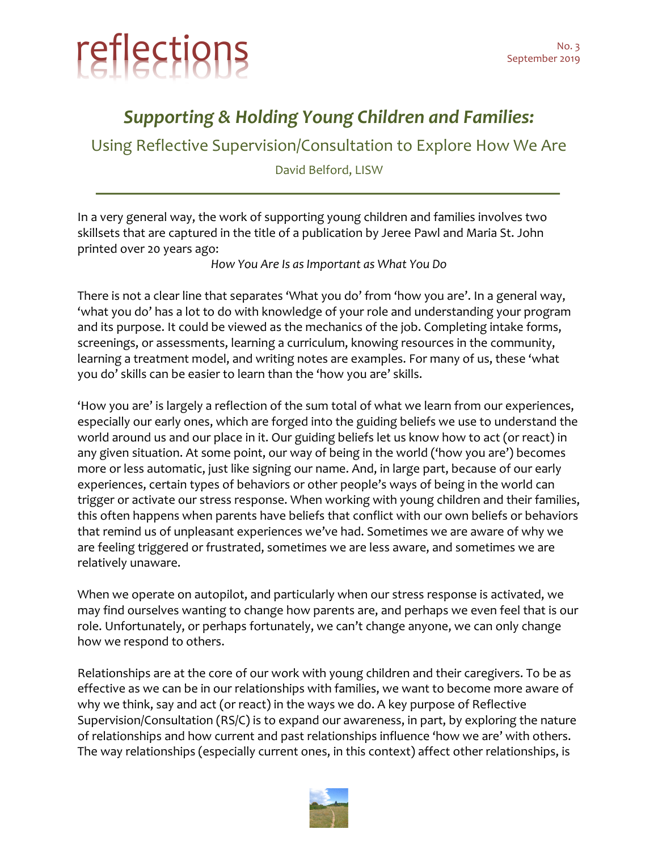

## *Supporting & Holding Young Children and Families:*

Using Reflective Supervision/Consultation to Explore How We Are

David Belford, LISW

In a very general way, the work of supporting young children and families involves two skillsets that are captured in the title of a publication by Jeree Pawl and Maria St. John printed over 20 years ago:

*How You Are Is as Important as What You Do*

There is not a clear line that separates 'What you do' from 'how you are'. In a general way, 'what you do' has a lot to do with knowledge of your role and understanding your program and its purpose. It could be viewed as the mechanics of the job. Completing intake forms, screenings, or assessments, learning a curriculum, knowing resources in the community, learning a treatment model, and writing notes are examples. For many of us, these 'what you do' skills can be easier to learn than the 'how you are' skills.

'How you are' is largely a reflection of the sum total of what we learn from our experiences, especially our early ones, which are forged into the guiding beliefs we use to understand the world around us and our place in it. Our guiding beliefs let us know how to act (or react) in any given situation. At some point, our way of being in the world ('how you are') becomes more or less automatic, just like signing our name. And, in large part, because of our early experiences, certain types of behaviors or other people's ways of being in the world can trigger or activate our stress response. When working with young children and their families, this often happens when parents have beliefs that conflict with our own beliefs or behaviors that remind us of unpleasant experiences we've had. Sometimes we are aware of why we are feeling triggered or frustrated, sometimes we are less aware, and sometimes we are relatively unaware.

When we operate on autopilot, and particularly when our stress response is activated, we may find ourselves wanting to change how parents are, and perhaps we even feel that is our role. Unfortunately, or perhaps fortunately, we can't change anyone, we can only change how we respond to others.

Relationships are at the core of our work with young children and their caregivers. To be as effective as we can be in our relationships with families, we want to become more aware of why we think, say and act (or react) in the ways we do. A key purpose of Reflective Supervision/Consultation (RS/C) is to expand our awareness, in part, by exploring the nature of relationships and how current and past relationships influence 'how we are' with others. The way relationships (especially current ones, in this context) affect other relationships, is